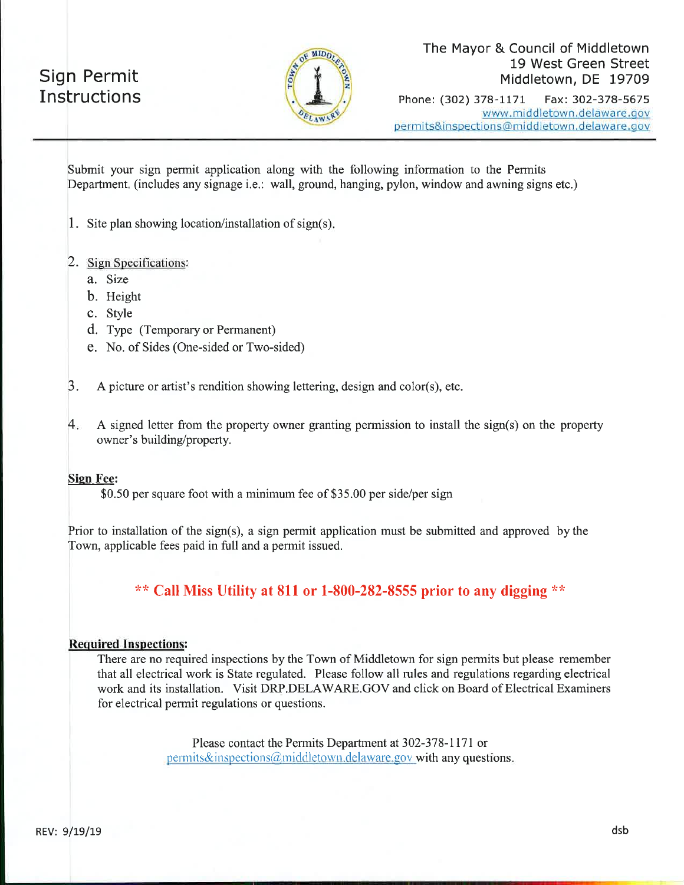## **Sign Permit** Instructions



Fax: 302-378-5675 Phone: (302) 378-1171 www.middletown.delaware.gov permits&inspections@middletown.delaware.gov

Submit your sign permit application along with the following information to the Permits Department. (includes any signage i.e.: wall, ground, hanging, pylon, window and awning signs etc.)

1. Site plan showing location/installation of sign(s).

#### 2. Sign Specifications:

- a. Size
- b. Height
- c. Style
- d. Type (Temporary or Permanent)
- e. No. of Sides (One-sided or Two-sided)

 $\beta$ . A picture or artist's rendition showing lettering, design and color(s), etc.

 $4.$ A signed letter from the property owner granting permission to install the sign(s) on the property owner's building/property.

#### **Sign Fee:**

\$0.50 per square foot with a minimum fee of \$35.00 per side/per sign

Prior to installation of the sign(s), a sign permit application must be submitted and approved by the Town, applicable fees paid in full and a permit issued.

\*\* Call Miss Utility at 811 or 1-800-282-8555 prior to any digging \*\*

#### **Required Inspections:**

There are no required inspections by the Town of Middletown for sign permits but please remember that all electrical work is State regulated. Please follow all rules and regulations regarding electrical work and its installation. Visit DRP.DELAWARE.GOV and click on Board of Electrical Examiners for electrical permit regulations or questions.

> Please contact the Permits Department at 302-378-1171 or permits&inspections@middletown.delaware.gov with any questions.